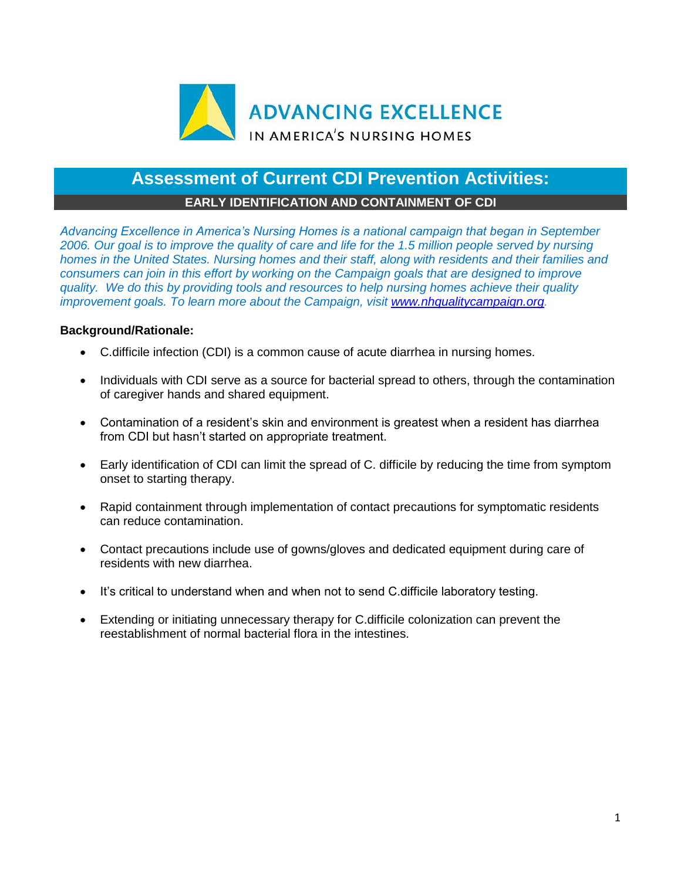

# **Assessment of Current CDI Prevention Activities:**

## **EARLY IDENTIFICATION AND CONTAINMENT OF CDI**

*Advancing Excellence in America's Nursing Homes is a national campaign that began in September 2006. Our goal is to improve the quality of care and life for the 1.5 million people served by nursing homes in the United States. Nursing homes and their staff, along with residents and their families and consumers can join in this effort by working on the Campaign goals that are designed to improve quality. We do this by providing tools and resources to help nursing homes achieve their quality improvement goals. To learn more about the Campaign, visit [www.nhqualitycampaign.org.](https://www.nhqualitycampaign.org/)*

### **Background/Rationale:**

- C.difficile infection (CDI) is a common cause of acute diarrhea in nursing homes.
- Individuals with CDI serve as a source for bacterial spread to others, through the contamination of caregiver hands and shared equipment.
- Contamination of a resident's skin and environment is greatest when a resident has diarrhea from CDI but hasn't started on appropriate treatment.
- Early identification of CDI can limit the spread of C. difficile by reducing the time from symptom onset to starting therapy.
- Rapid containment through implementation of contact precautions for symptomatic residents can reduce contamination.
- Contact precautions include use of gowns/gloves and dedicated equipment during care of residents with new diarrhea.
- It's critical to understand when and when not to send C.difficile laboratory testing.
- Extending or initiating unnecessary therapy for C.difficile colonization can prevent the reestablishment of normal bacterial flora in the intestines.